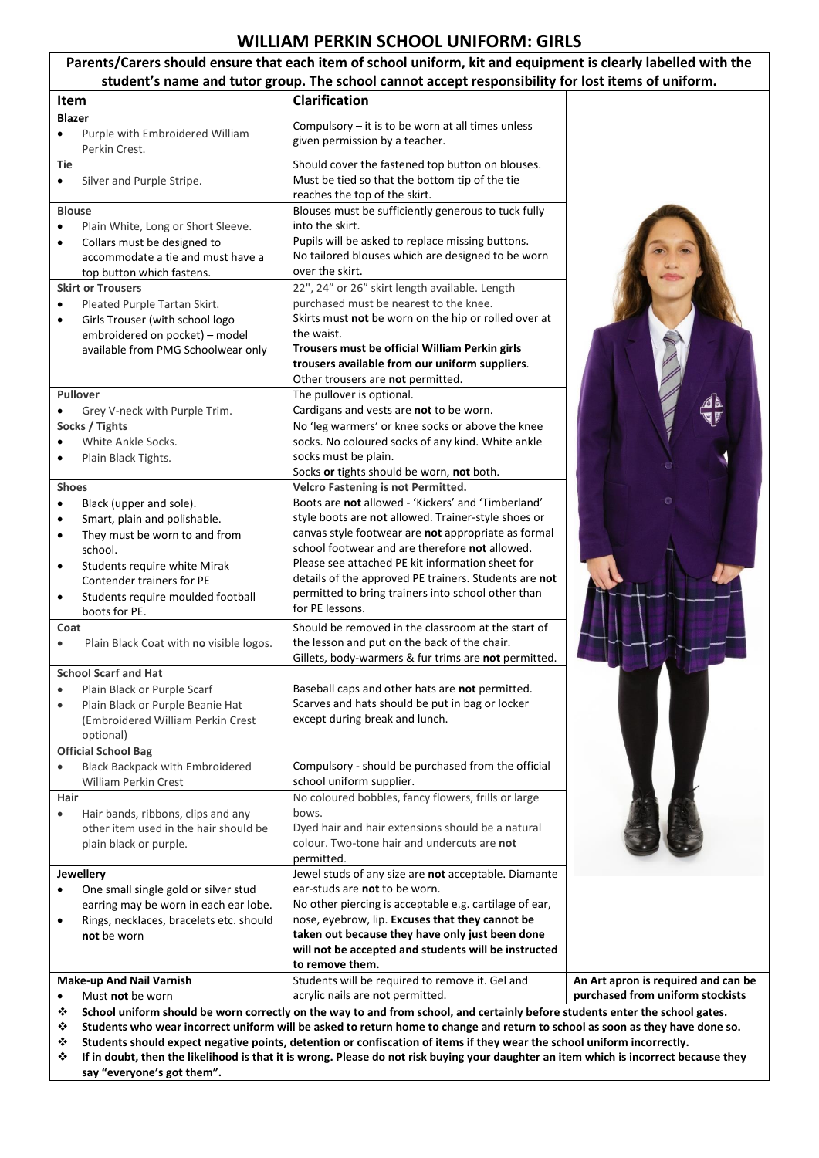## **WILLIAM PERKIN SCHOOL UNIFORM: GIRLS**

| Parents/Carers should ensure that each item of school uniform, kit and equipment is clearly labelled with the<br>student's name and tutor group. The school cannot accept responsibility for lost items of uniform.                                                                                     |                                                                                                                                                                                                                                                                                                                                                                                                                                                |                                                                         |  |  |
|---------------------------------------------------------------------------------------------------------------------------------------------------------------------------------------------------------------------------------------------------------------------------------------------------------|------------------------------------------------------------------------------------------------------------------------------------------------------------------------------------------------------------------------------------------------------------------------------------------------------------------------------------------------------------------------------------------------------------------------------------------------|-------------------------------------------------------------------------|--|--|
| <b>Item</b>                                                                                                                                                                                                                                                                                             | <b>Clarification</b>                                                                                                                                                                                                                                                                                                                                                                                                                           |                                                                         |  |  |
| <b>Blazer</b><br>Purple with Embroidered William                                                                                                                                                                                                                                                        | Compulsory $-$ it is to be worn at all times unless<br>given permission by a teacher.                                                                                                                                                                                                                                                                                                                                                          |                                                                         |  |  |
| Perkin Crest.<br>Tie<br>Silver and Purple Stripe.<br>٠                                                                                                                                                                                                                                                  | Should cover the fastened top button on blouses.<br>Must be tied so that the bottom tip of the tie<br>reaches the top of the skirt.                                                                                                                                                                                                                                                                                                            |                                                                         |  |  |
| <b>Blouse</b><br>Plain White, Long or Short Sleeve.<br>$\bullet$<br>Collars must be designed to<br>$\bullet$<br>accommodate a tie and must have a<br>top button which fastens.<br><b>Skirt or Trousers</b><br>Pleated Purple Tartan Skirt.<br>$\bullet$<br>Girls Trouser (with school logo<br>$\bullet$ | Blouses must be sufficiently generous to tuck fully<br>into the skirt.<br>Pupils will be asked to replace missing buttons.<br>No tailored blouses which are designed to be worn<br>over the skirt.<br>22", 24" or 26" skirt length available. Length<br>purchased must be nearest to the knee.<br>Skirts must not be worn on the hip or rolled over at                                                                                         |                                                                         |  |  |
| embroidered on pocket) - model<br>available from PMG Schoolwear only                                                                                                                                                                                                                                    | the waist.<br>Trousers must be official William Perkin girls<br>trousers available from our uniform suppliers.<br>Other trousers are not permitted.                                                                                                                                                                                                                                                                                            |                                                                         |  |  |
| <b>Pullover</b><br>Grey V-neck with Purple Trim.<br>Socks / Tights<br>White Ankle Socks.<br>Plain Black Tights.<br>٠                                                                                                                                                                                    | The pullover is optional.<br>Cardigans and vests are not to be worn.<br>No 'leg warmers' or knee socks or above the knee<br>socks. No coloured socks of any kind. White ankle<br>socks must be plain.<br>Socks or tights should be worn, not both.                                                                                                                                                                                             |                                                                         |  |  |
| <b>Shoes</b><br>Black (upper and sole).<br>$\bullet$<br>Smart, plain and polishable.<br>$\bullet$<br>They must be worn to and from<br>$\bullet$<br>school.<br>Students require white Mirak<br>٠<br>Contender trainers for PE<br>Students require moulded football<br>٠<br>boots for PE.                 | Velcro Fastening is not Permitted.<br>Boots are not allowed - 'Kickers' and 'Timberland'<br>style boots are not allowed. Trainer-style shoes or<br>canvas style footwear are not appropriate as formal<br>school footwear and are therefore not allowed.<br>Please see attached PE kit information sheet for<br>details of the approved PE trainers. Students are not<br>permitted to bring trainers into school other than<br>for PE lessons. |                                                                         |  |  |
| Coat<br>Plain Black Coat with no visible logos.                                                                                                                                                                                                                                                         | Should be removed in the classroom at the start of<br>the lesson and put on the back of the chair.<br>Gillets, body-warmers & fur trims are not permitted.                                                                                                                                                                                                                                                                                     |                                                                         |  |  |
| <b>School Scarf and Hat</b><br>Plain Black or Purple Scarf<br>$\bullet$<br>Plain Black or Purple Beanie Hat<br>$\bullet$<br>(Embroidered William Perkin Crest<br>optional)<br><b>Official School Bag</b>                                                                                                | Baseball caps and other hats are not permitted.<br>Scarves and hats should be put in bag or locker<br>except during break and lunch.                                                                                                                                                                                                                                                                                                           |                                                                         |  |  |
| <b>Black Backpack with Embroidered</b><br><b>William Perkin Crest</b>                                                                                                                                                                                                                                   | Compulsory - should be purchased from the official<br>school uniform supplier.                                                                                                                                                                                                                                                                                                                                                                 |                                                                         |  |  |
| Hair<br>Hair bands, ribbons, clips and any<br>$\bullet$<br>other item used in the hair should be<br>plain black or purple.                                                                                                                                                                              | No coloured bobbles, fancy flowers, frills or large<br>bows.<br>Dyed hair and hair extensions should be a natural<br>colour. Two-tone hair and undercuts are not<br>permitted.                                                                                                                                                                                                                                                                 |                                                                         |  |  |
| Jewellery<br>One small single gold or silver stud<br>$\bullet$<br>earring may be worn in each ear lobe.<br>Rings, necklaces, bracelets etc. should<br>$\bullet$<br>not be worn                                                                                                                          | Jewel studs of any size are not acceptable. Diamante<br>ear-studs are not to be worn.<br>No other piercing is acceptable e.g. cartilage of ear,<br>nose, eyebrow, lip. Excuses that they cannot be<br>taken out because they have only just been done<br>will not be accepted and students will be instructed<br>to remove them.                                                                                                               |                                                                         |  |  |
| Make-up And Nail Varnish<br>Must not be worn                                                                                                                                                                                                                                                            | Students will be required to remove it. Gel and<br>acrylic nails are not permitted.                                                                                                                                                                                                                                                                                                                                                            | An Art apron is required and can be<br>purchased from uniform stockists |  |  |
| School uniform should be worn correctly on the way to and from school, and certainly before students enter the school gates.<br>❖<br>Students who wear incorrect uniform will be asked to return home to change and return to school as soon as they have done so.<br>❖                                 |                                                                                                                                                                                                                                                                                                                                                                                                                                                |                                                                         |  |  |

**Students should expect negative points, detention or confiscation of items if they wear the school uniform incorrectly.** 

 **If in doubt, then the likelihood is that it is wrong. Please do not risk buying your daughter an item which is incorrect because they say "everyone's got them".**